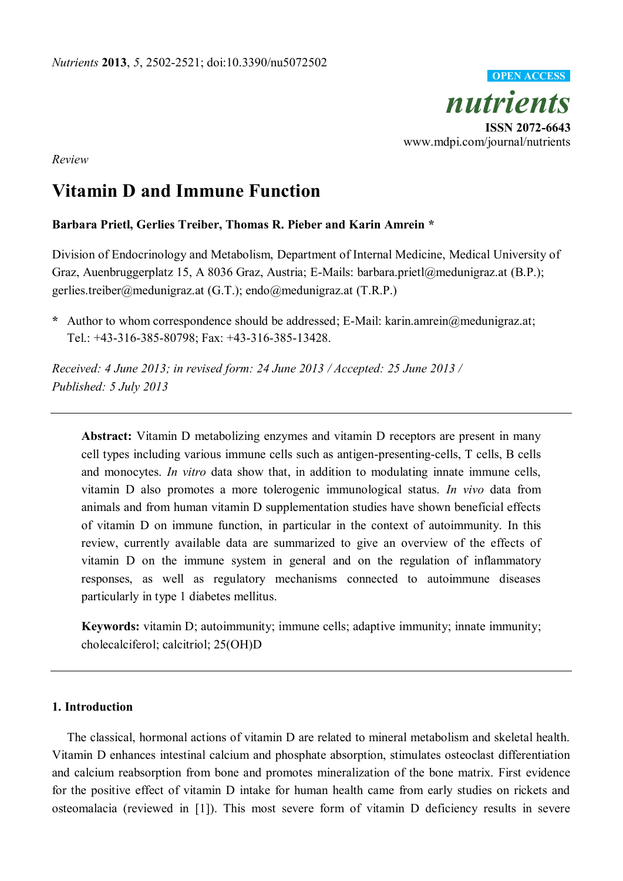

*Review*

# **Vitamin D and Immune Function**

# **Barbara Prietl, Gerlies Treiber, Thomas R. Pieber and Karin Amrein \***

Division of Endocrinology and Metabolism, Department of Internal Medicine, Medical University of Graz, Auenbruggerplatz 15, A 8036 Graz, Austria; E-Mails: barbara.prietl@medunigraz.at (B.P.); gerlies.treiber@medunigraz.at (G.T.); endo@medunigraz.at (T.R.P.)

**\*** Author to whom correspondence should be addressed; E-Mail: karin.amrein@medunigraz.at; Tel.: +43-316-385-80798; Fax: +43-316-385-13428.

*Received: 4 June 2013; in revised form: 24 June 2013 / Accepted: 25 June 2013 / Published: 5 July 2013*

**Abstract:** Vitamin D metabolizing enzymes and vitamin D receptors are present in many cell types including various immune cells such as antigen-presenting-cells, T cells, B cells and monocytes. *In vitro* data show that, in addition to modulating innate immune cells, vitamin D also promotes a more tolerogenic immunological status. *In vivo* data from animals and from human vitamin D supplementation studies have shown beneficial effects of vitamin D on immune function, in particular in the context of autoimmunity. In this review, currently available data are summarized to give an overview of the effects of vitamin D on the immune system in general and on the regulation of inflammatory responses, as well as regulatory mechanisms connected to autoimmune diseases particularly in type 1 diabetes mellitus.

**Keywords:** vitamin D; autoimmunity; immune cells; adaptive immunity; innate immunity; cholecalciferol; calcitriol; 25(OH)D

## **1. Introduction**

The classical, hormonal actions of vitamin D are related to mineral metabolism and skeletal health. Vitamin D enhances intestinal calcium and phosphate absorption, stimulates osteoclast differentiation and calcium reabsorption from bone and promotes mineralization of the bone matrix. First evidence for the positive effect of vitamin D intake for human health came from early studies on rickets and osteomalacia (reviewed in [1]). This most severe form of vitamin D deficiency results in severe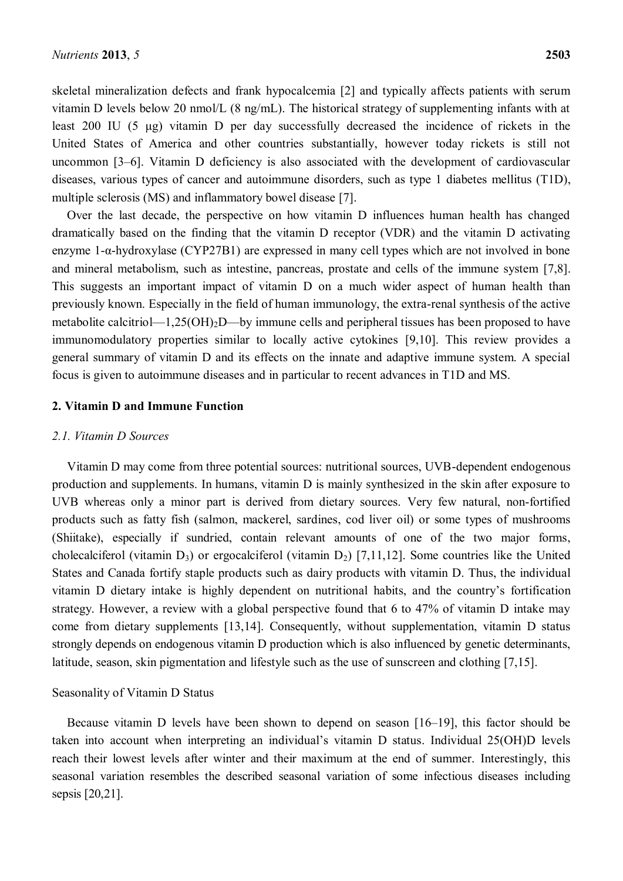skeletal mineralization defects and frank hypocalcemia [2] and typically affects patients with serum vitamin D levels below 20 nmol/L (8 ng/mL). The historical strategy of supplementing infants with at least 200 IU (5 μg) vitamin D per day successfully decreased the incidence of rickets in the United States of America and other countries substantially, however today rickets is still not uncommon [3–6]. Vitamin D deficiency is also associated with the development of cardiovascular diseases, various types of cancer and autoimmune disorders, such as type 1 diabetes mellitus (T1D), multiple sclerosis (MS) and inflammatory bowel disease [7].

Over the last decade, the perspective on how vitamin D influences human health has changed dramatically based on the finding that the vitamin D receptor (VDR) and the vitamin D activating enzyme 1-α-hydroxylase (CYP27B1) are expressed in many cell types which are not involved in bone and mineral metabolism, such as intestine, pancreas, prostate and cells of the immune system [7,8]. This suggests an important impact of vitamin D on a much wider aspect of human health than previously known. Especially in the field of human immunology, the extra-renal synthesis of the active metabolite calcitriol—1,25(OH)2D—by immune cells and peripheral tissues has been proposed to have immunomodulatory properties similar to locally active cytokines [9,10]. This review provides a general summary of vitamin D and its effects on the innate and adaptive immune system. A special focus is given to autoimmune diseases and in particular to recent advances in T1D and MS.

## **2. Vitamin D and Immune Function**

#### *2.1. Vitamin D Sources*

Vitamin D may come from three potential sources: nutritional sources, UVB-dependent endogenous production and supplements. In humans, vitamin D is mainly synthesized in the skin after exposure to UVB whereas only a minor part is derived from dietary sources. Very few natural, non-fortified products such as fatty fish (salmon, mackerel, sardines, cod liver oil) or some types of mushrooms (Shiitake), especially if sundried, contain relevant amounts of one of the two major forms, cholecalciferol (vitamin  $D_3$ ) or ergocalciferol (vitamin  $D_2$ ) [7,11,12]. Some countries like the United States and Canada fortify staple products such as dairy products with vitamin D. Thus, the individual vitamin D dietary intake is highly dependent on nutritional habits, and the country's fortification strategy. However, a review with a global perspective found that 6 to 47% of vitamin D intake may come from dietary supplements [13,14]. Consequently, without supplementation, vitamin D status strongly depends on endogenous vitamin D production which is also influenced by genetic determinants, latitude, season, skin pigmentation and lifestyle such as the use of sunscreen and clothing [7,15].

#### Seasonality of Vitamin D Status

Because vitamin D levels have been shown to depend on season [16–19], this factor should be taken into account when interpreting an individual's vitamin D status. Individual 25(OH)D levels reach their lowest levels after winter and their maximum at the end of summer. Interestingly, this seasonal variation resembles the described seasonal variation of some infectious diseases including sepsis [20,21].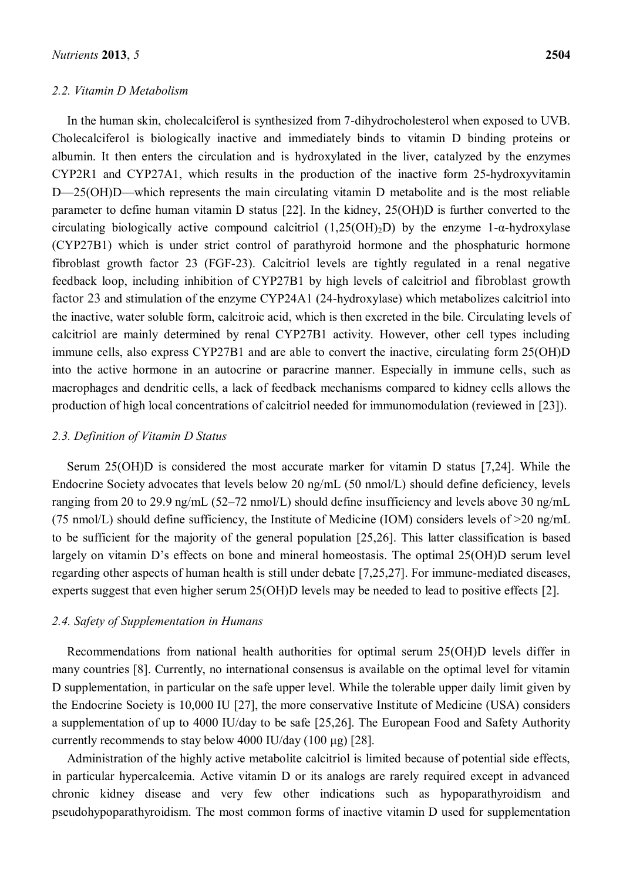#### *2.2. Vitamin D Metabolism*

In the human skin, cholecalciferol is synthesized from 7-dihydrocholesterol when exposed to UVB. Cholecalciferol is biologically inactive and immediately binds to vitamin D binding proteins or albumin. It then enters the circulation and is hydroxylated in the liver, catalyzed by the enzymes CYP2R1 and CYP27A1, which results in the production of the inactive form 25-hydroxyvitamin D—25(OH)D—which represents the main circulating vitamin D metabolite and is the most reliable parameter to define human vitamin D status [22]. In the kidney, 25(OH)D is further converted to the circulating biologically active compound calcitriol  $(1,25(OH)_2D)$  by the enzyme 1-α-hydroxylase (CYP27B1) which is under strict control of parathyroid hormone and the phosphaturic hormone fibroblast growth factor 23 (FGF-23). Calcitriol levels are tightly regulated in a renal negative feedback loop, including inhibition of CYP27B1 by high levels of calcitriol and fibroblast growth factor 23 and stimulation of the enzyme CYP24A1 (24-hydroxylase) which metabolizes calcitriol into the inactive, water soluble form, calcitroic acid, which is then excreted in the bile. Circulating levels of calcitriol are mainly determined by renal CYP27B1 activity. However, other cell types including immune cells, also express CYP27B1 and are able to convert the inactive, circulating form 25(OH)D into the active hormone in an autocrine or paracrine manner. Especially in immune cells, such as macrophages and dendritic cells, a lack of feedback mechanisms compared to kidney cells allows the production of high local concentrations of calcitriol needed for immunomodulation (reviewed in [23]).

#### *2.3. Definition of Vitamin D Status*

Serum 25(OH)D is considered the most accurate marker for vitamin D status [7,24]. While the Endocrine Society advocates that levels below 20 ng/mL (50 nmol/L) should define deficiency, levels ranging from 20 to 29.9 ng/mL (52–72 nmol/L) should define insufficiency and levels above 30 ng/mL (75 nmol/L) should define sufficiency, the Institute of Medicine (IOM) considers levels of  $>20$  ng/mL to be sufficient for the majority of the general population [25,26]. This latter classification is based largely on vitamin D's effects on bone and mineral homeostasis. The optimal 25(OH)D serum level regarding other aspects of human health is still under debate [7,25,27]. For immune-mediated diseases, experts suggest that even higher serum 25(OH)D levels may be needed to lead to positive effects [2].

#### *2.4. Safety of Supplementation in Humans*

Recommendations from national health authorities for optimal serum 25(OH)D levels differ in many countries [8]. Currently, no international consensus is available on the optimal level for vitamin D supplementation, in particular on the safe upper level. While the tolerable upper daily limit given by the Endocrine Society is 10,000 IU [27], the more conservative Institute of Medicine (USA) considers a supplementation of up to 4000 IU/day to be safe [25,26]. The European Food and Safety Authority currently recommends to stay below 4000 IU/day (100 μg) [28].

Administration of the highly active metabolite calcitriol is limited because of potential side effects, in particular hypercalcemia. Active vitamin D or its analogs are rarely required except in advanced chronic kidney disease and very few other indications such as hypoparathyroidism and pseudohypoparathyroidism. The most common forms of inactive vitamin D used for supplementation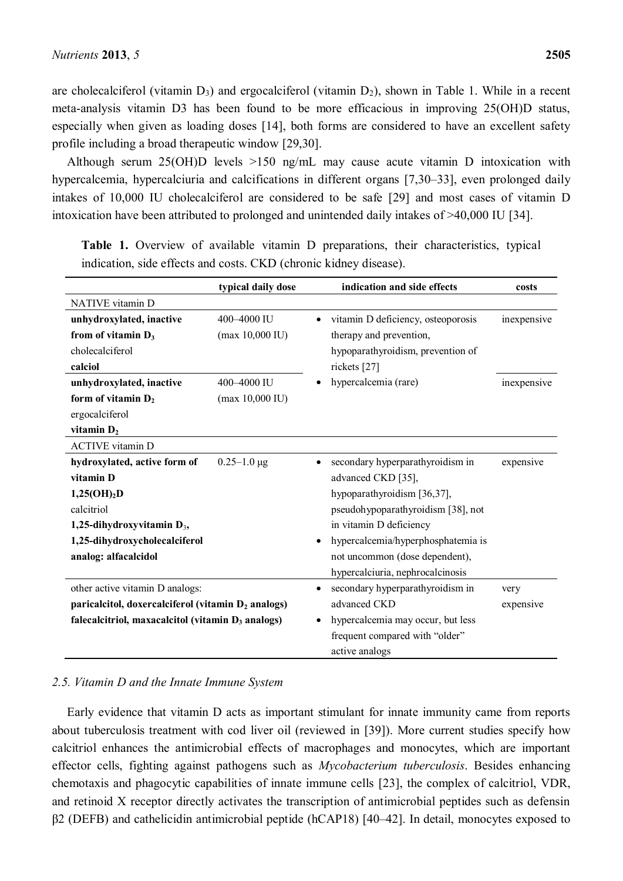are cholecalciferol (vitamin  $D_3$ ) and ergocalciferol (vitamin  $D_2$ ), shown in Table 1. While in a recent meta-analysis vitamin D3 has been found to be more efficacious in improving 25(OH)D status, especially when given as loading doses [14], both forms are considered to have an excellent safety profile including a broad therapeutic window [29,30].

Although serum 25(OH)D levels >150 ng/mL may cause acute vitamin D intoxication with hypercalcemia, hypercalciuria and calcifications in different organs [7,30–33], even prolonged daily intakes of 10,000 IU cholecalciferol are considered to be safe [29] and most cases of vitamin D intoxication have been attributed to prolonged and unintended daily intakes of >40,000 IU [34].

|                                                                                                                                                                              | typical daily dose             | indication and side effects                                                                                                                                                                                                                                        | costs             |
|------------------------------------------------------------------------------------------------------------------------------------------------------------------------------|--------------------------------|--------------------------------------------------------------------------------------------------------------------------------------------------------------------------------------------------------------------------------------------------------------------|-------------------|
| NATIVE vitamin D                                                                                                                                                             |                                |                                                                                                                                                                                                                                                                    |                   |
| unhydroxylated, inactive<br>from of vitamin $D_3$<br>cholecalciferol<br>calciol                                                                                              | 400-4000 IU<br>(max 10,000 IU) | vitamin D deficiency, osteoporosis<br>therapy and prevention,<br>hypoparathyroidism, prevention of<br>rickets [27]                                                                                                                                                 | inexpensive       |
| unhydroxylated, inactive<br>form of vitamin $D_2$<br>ergocalciferol<br>vitamin $D_2$                                                                                         | 400-4000 IU<br>(max 10,000 IU) | hypercalcemia (rare)                                                                                                                                                                                                                                               | inexpensive       |
| <b>ACTIVE</b> vitamin D                                                                                                                                                      |                                |                                                                                                                                                                                                                                                                    |                   |
| hydroxylated, active form of<br>vitamin D<br>1,25(OH) <sub>2</sub> D<br>calcitriol<br>1,25-dihydroxyvitamin $D_3$ ,<br>1,25-dihydroxycholecalciferol<br>analog: alfacalcidol | $0.25 - 1.0 \mu g$             | secondary hyperparathyroidism in<br>advanced CKD [35],<br>hypoparathyroidism [36,37],<br>pseudohypoparathyroidism [38], not<br>in vitamin D deficiency<br>hypercalcemia/hyperphosphatemia is<br>not uncommon (dose dependent),<br>hypercalciuria, nephrocalcinosis | expensive         |
| other active vitamin D analogs:<br>paricalcitol, doxercalciferol (vitamin D <sub>2</sub> analogs)<br>falecalcitriol, maxacalcitol (vitamin D <sub>3</sub> analogs)           |                                | secondary hyperparathyroidism in<br>advanced CKD<br>hypercalcemia may occur, but less<br>٠<br>frequent compared with "older"<br>active analogs                                                                                                                     | very<br>expensive |

**Table 1.** Overview of available vitamin D preparations, their characteristics, typical indication, side effects and costs. CKD (chronic kidney disease).

# *2.5. Vitamin D and the Innate Immune System*

Early evidence that vitamin D acts as important stimulant for innate immunity came from reports about tuberculosis treatment with cod liver oil (reviewed in [39]). More current studies specify how calcitriol enhances the antimicrobial effects of macrophages and monocytes, which are important effector cells, fighting against pathogens such as *Mycobacterium tuberculosis*. Besides enhancing chemotaxis and phagocytic capabilities of innate immune cells [23], the complex of calcitriol, VDR, and retinoid X receptor directly activates the transcription of antimicrobial peptides such as defensin β2 (DEFB) and cathelicidin antimicrobial peptide (hCAP18) [40–42]. In detail, monocytes exposed to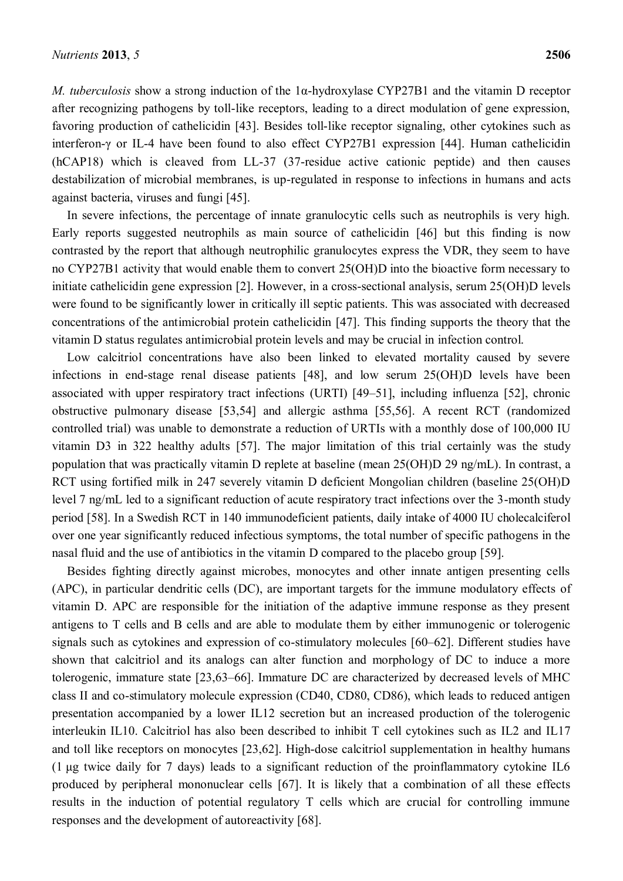*M. tuberculosis* show a strong induction of the 1α-hydroxylase CYP27B1 and the vitamin D receptor after recognizing pathogens by toll-like receptors, leading to a direct modulation of gene expression, favoring production of cathelicidin [43]. Besides toll-like receptor signaling, other cytokines such as interferon-γ or IL-4 have been found to also effect CYP27B1 expression [44]. Human cathelicidin (hCAP18) which is cleaved from LL-37 (37-residue active cationic peptide) and then causes destabilization of microbial membranes, is up-regulated in response to infections in humans and acts against bacteria, viruses and fungi [45].

In severe infections, the percentage of innate granulocytic cells such as neutrophils is very high. Early reports suggested neutrophils as main source of cathelicidin [46] but this finding is now contrasted by the report that although neutrophilic granulocytes express the VDR, they seem to have no CYP27B1 activity that would enable them to convert 25(OH)D into the bioactive form necessary to initiate cathelicidin gene expression [2]. However, in a cross-sectional analysis, serum 25(OH)D levels were found to be significantly lower in critically ill septic patients. This was associated with decreased concentrations of the antimicrobial protein cathelicidin [47]. This finding supports the theory that the vitamin D status regulates antimicrobial protein levels and may be crucial in infection control.

Low calcitriol concentrations have also been linked to elevated mortality caused by severe infections in end-stage renal disease patients [48], and low serum 25(OH)D levels have been associated with upper respiratory tract infections (URTI) [49–51], including influenza [52], chronic obstructive pulmonary disease [53,54] and allergic asthma [55,56]. A recent RCT (randomized controlled trial) was unable to demonstrate a reduction of URTIs with a monthly dose of 100,000 IU vitamin D3 in 322 healthy adults [57]. The major limitation of this trial certainly was the study population that was practically vitamin D replete at baseline (mean 25(OH)D 29 ng/mL). In contrast, a RCT using fortified milk in 247 severely vitamin D deficient Mongolian children (baseline 25(OH)D level 7 ng/mL led to a significant reduction of acute respiratory tract infections over the 3-month study period [58]. In a Swedish RCT in 140 immunodeficient patients, daily intake of 4000 IU cholecalciferol over one year significantly reduced infectious symptoms, the total number of specific pathogens in the nasal fluid and the use of antibiotics in the vitamin D compared to the placebo group [59].

Besides fighting directly against microbes, monocytes and other innate antigen presenting cells (APC), in particular dendritic cells (DC), are important targets for the immune modulatory effects of vitamin D. APC are responsible for the initiation of the adaptive immune response as they present antigens to T cells and B cells and are able to modulate them by either immunogenic or tolerogenic signals such as cytokines and expression of co-stimulatory molecules [60–62]. Different studies have shown that calcitriol and its analogs can alter function and morphology of DC to induce a more tolerogenic, immature state [23,63–66]. Immature DC are characterized by decreased levels of MHC class II and co-stimulatory molecule expression (CD40, CD80, CD86), which leads to reduced antigen presentation accompanied by a lower IL12 secretion but an increased production of the tolerogenic interleukin IL10. Calcitriol has also been described to inhibit T cell cytokines such as IL2 and IL17 and toll like receptors on monocytes [23,62]. High-dose calcitriol supplementation in healthy humans (1 μg twice daily for 7 days) leads to a significant reduction of the proinflammatory cytokine IL6 produced by peripheral mononuclear cells [67]. It is likely that a combination of all these effects results in the induction of potential regulatory T cells which are crucial for controlling immune responses and the development of autoreactivity [68].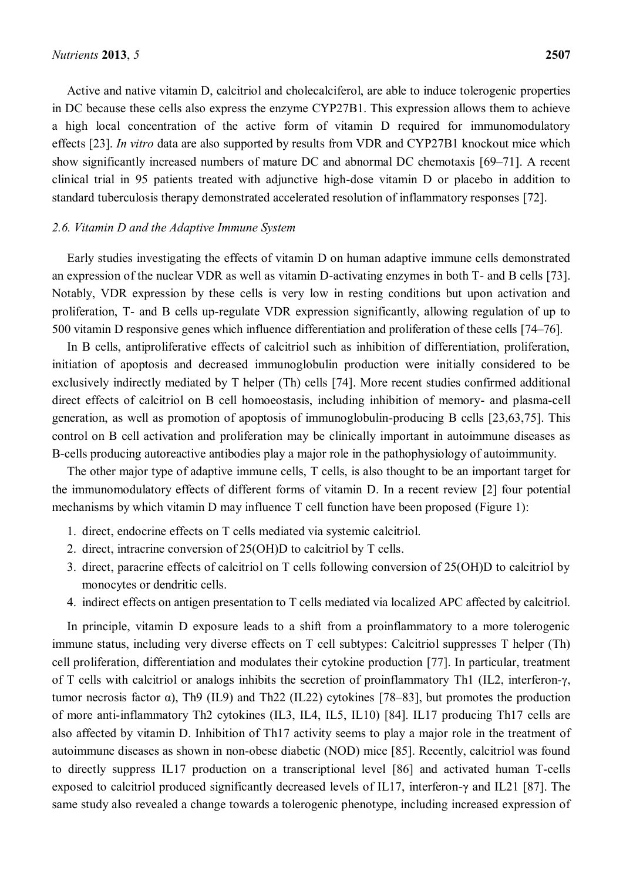Active and native vitamin D, calcitriol and cholecalciferol, are able to induce tolerogenic properties in DC because these cells also express the enzyme CYP27B1. This expression allows them to achieve a high local concentration of the active form of vitamin D required for immunomodulatory effects [23]. *In vitro* data are also supported by results from VDR and CYP27B1 knockout mice which show significantly increased numbers of mature DC and abnormal DC chemotaxis [69–71]. A recent clinical trial in 95 patients treated with adjunctive high-dose vitamin D or placebo in addition to standard tuberculosis therapy demonstrated accelerated resolution of inflammatory responses [72].

#### *2.6. Vitamin D and the Adaptive Immune System*

Early studies investigating the effects of vitamin D on human adaptive immune cells demonstrated an expression of the nuclear VDR as well as vitamin D-activating enzymes in both T- and B cells [73]. Notably, VDR expression by these cells is very low in resting conditions but upon activation and proliferation, T- and B cells up-regulate VDR expression significantly, allowing regulation of up to 500 vitamin D responsive genes which influence differentiation and proliferation of these cells [74–76].

In B cells, antiproliferative effects of calcitriol such as inhibition of differentiation, proliferation, initiation of apoptosis and decreased immunoglobulin production were initially considered to be exclusively indirectly mediated by T helper (Th) cells [74]. More recent studies confirmed additional direct effects of calcitriol on B cell homoeostasis, including inhibition of memory- and plasma-cell generation, as well as promotion of apoptosis of immunoglobulin-producing B cells [23,63,75]. This control on B cell activation and proliferation may be clinically important in autoimmune diseases as B-cells producing autoreactive antibodies play a major role in the pathophysiology of autoimmunity.

The other major type of adaptive immune cells, T cells, is also thought to be an important target for the immunomodulatory effects of different forms of vitamin D. In a recent review [2] four potential mechanisms by which vitamin D may influence T cell function have been proposed (Figure 1):

- 1. direct, endocrine effects on T cells mediated via systemic calcitriol.
- 2. direct, intracrine conversion of 25(OH)D to calcitriol by T cells.
- 3. direct, paracrine effects of calcitriol on T cells following conversion of 25(OH)D to calcitriol by monocytes or dendritic cells.
- 4. indirect effects on antigen presentation to T cells mediated via localized APC affected by calcitriol.

In principle, vitamin D exposure leads to a shift from a proinflammatory to a more tolerogenic immune status, including very diverse effects on T cell subtypes: Calcitriol suppresses T helper (Th) cell proliferation, differentiation and modulates their cytokine production [77]. In particular, treatment of T cells with calcitriol or analogs inhibits the secretion of proinflammatory Th1 (IL2, interferon-γ, tumor necrosis factor α), Th9 (IL9) and Th22 (IL22) cytokines [78–83], but promotes the production of more anti-inflammatory Th2 cytokines (IL3, IL4, IL5, IL10) [84]. IL17 producing Th17 cells are also affected by vitamin D. Inhibition of Th17 activity seems to play a major role in the treatment of autoimmune diseases as shown in non-obese diabetic (NOD) mice [85]. Recently, calcitriol was found to directly suppress IL17 production on a transcriptional level [86] and activated human T-cells exposed to calcitriol produced significantly decreased levels of IL17, interferon-γ and IL21 [87]. The same study also revealed a change towards a tolerogenic phenotype, including increased expression of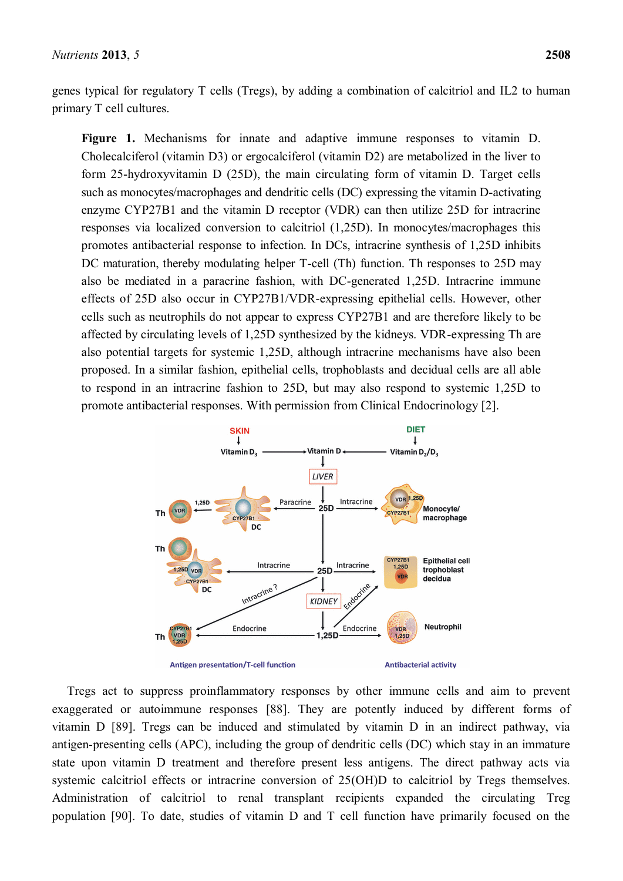genes typical for regulatory T cells (Tregs), by adding a combination of calcitriol and IL2 to human primary T cell cultures.

**Figure 1.** Mechanisms for innate and adaptive immune responses to vitamin D. Cholecalciferol (vitamin D3) or ergocalciferol (vitamin D2) are metabolized in the liver to form 25-hydroxyvitamin D (25D), the main circulating form of vitamin D. Target cells such as monocytes/macrophages and dendritic cells (DC) expressing the vitamin D-activating enzyme CYP27B1 and the vitamin D receptor (VDR) can then utilize 25D for intracrine responses via localized conversion to calcitriol (1,25D). In monocytes/macrophages this promotes antibacterial response to infection. In DCs, intracrine synthesis of 1,25D inhibits DC maturation, thereby modulating helper T-cell (Th) function. Th responses to 25D may also be mediated in a paracrine fashion, with DC-generated 1,25D. Intracrine immune effects of 25D also occur in CYP27B1/VDR-expressing epithelial cells. However, other cells such as neutrophils do not appear to express CYP27B1 and are therefore likely to be affected by circulating levels of 1,25D synthesized by the kidneys. VDR-expressing Th are also potential targets for systemic 1,25D, although intracrine mechanisms have also been proposed. In a similar fashion, epithelial cells, trophoblasts and decidual cells are all able to respond in an intracrine fashion to 25D, but may also respond to systemic 1,25D to promote antibacterial responses. With permission from Clinical Endocrinology [2].



Tregs act to suppress proinflammatory responses by other immune cells and aim to prevent exaggerated or autoimmune responses [88]. They are potently induced by different forms of vitamin D [89]. Tregs can be induced and stimulated by vitamin D in an indirect pathway, via antigen-presenting cells (APC), including the group of dendritic cells (DC) which stay in an immature state upon vitamin D treatment and therefore present less antigens. The direct pathway acts via systemic calcitriol effects or intracrine conversion of 25(OH)D to calcitriol by Tregs themselves. Administration of calcitriol to renal transplant recipients expanded the circulating Treg population [90]. To date, studies of vitamin D and T cell function have primarily focused on the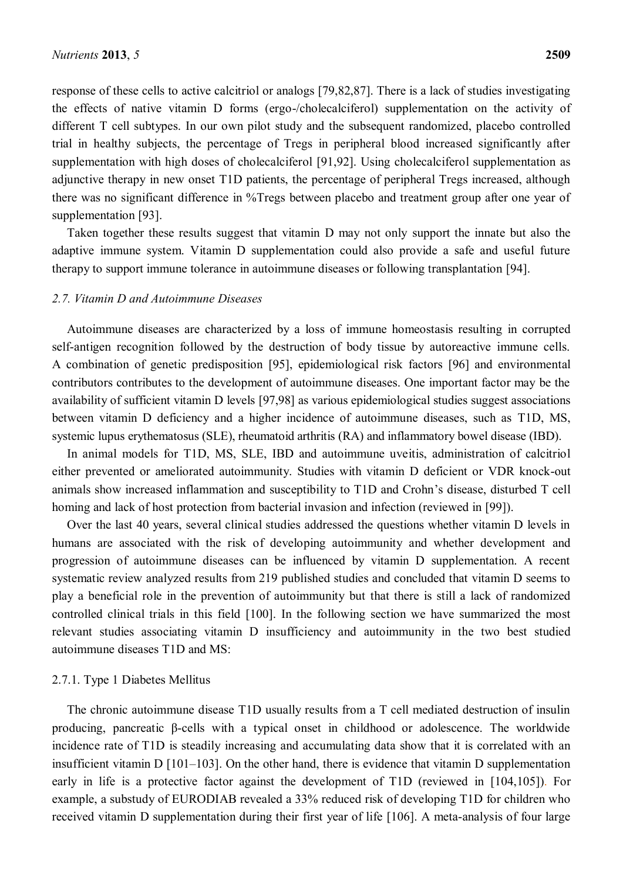response of these cells to active calcitriol or analogs [79,82,87]. There is a lack of studies investigating the effects of native vitamin D forms (ergo-/cholecalciferol) supplementation on the activity of different T cell subtypes. In our own pilot study and the subsequent randomized, placebo controlled trial in healthy subjects, the percentage of Tregs in peripheral blood increased significantly after supplementation with high doses of cholecalciferol [91,92]. Using cholecalciferol supplementation as adjunctive therapy in new onset T1D patients, the percentage of peripheral Tregs increased, although there was no significant difference in %Tregs between placebo and treatment group after one year of supplementation [93].

Taken together these results suggest that vitamin D may not only support the innate but also the adaptive immune system. Vitamin D supplementation could also provide a safe and useful future therapy to support immune tolerance in autoimmune diseases or following transplantation [94].

#### *2.7. Vitamin D and Autoimmune Diseases*

Autoimmune diseases are characterized by a loss of immune homeostasis resulting in corrupted self-antigen recognition followed by the destruction of body tissue by autoreactive immune cells. A combination of genetic predisposition [95], epidemiological risk factors [96] and environmental contributors contributes to the development of autoimmune diseases. One important factor may be the availability of sufficient vitamin D levels [97,98] as various epidemiological studies suggest associations between vitamin D deficiency and a higher incidence of autoimmune diseases, such as T1D, MS, systemic lupus erythematosus (SLE), rheumatoid arthritis (RA) and inflammatory bowel disease (IBD).

In animal models for T1D, MS, SLE, IBD and autoimmune uveitis, administration of calcitriol either prevented or ameliorated autoimmunity. Studies with vitamin D deficient or VDR knock-out animals show increased inflammation and susceptibility to T1D and Crohn's disease, disturbed T cell homing and lack of host protection from bacterial invasion and infection (reviewed in [99]).

Over the last 40 years, several clinical studies addressed the questions whether vitamin D levels in humans are associated with the risk of developing autoimmunity and whether development and progression of autoimmune diseases can be influenced by vitamin D supplementation. A recent systematic review analyzed results from 219 published studies and concluded that vitamin D seems to play a beneficial role in the prevention of autoimmunity but that there is still a lack of randomized controlled clinical trials in this field [100]. In the following section we have summarized the most relevant studies associating vitamin D insufficiency and autoimmunity in the two best studied autoimmune diseases T1D and MS:

#### 2.7.1. Type 1 Diabetes Mellitus

The chronic autoimmune disease T1D usually results from a T cell mediated destruction of insulin producing, pancreatic β-cells with a typical onset in childhood or adolescence. The worldwide incidence rate of T1D is steadily increasing and accumulating data show that it is correlated with an insufficient vitamin D [101–103]. On the other hand, there is evidence that vitamin D supplementation early in life is a protective factor against the development of T1D (reviewed in [104,105]). For example, a substudy of EURODIAB revealed a 33% reduced risk of developing T1D for children who received vitamin D supplementation during their first year of life [106]. A meta-analysis of four large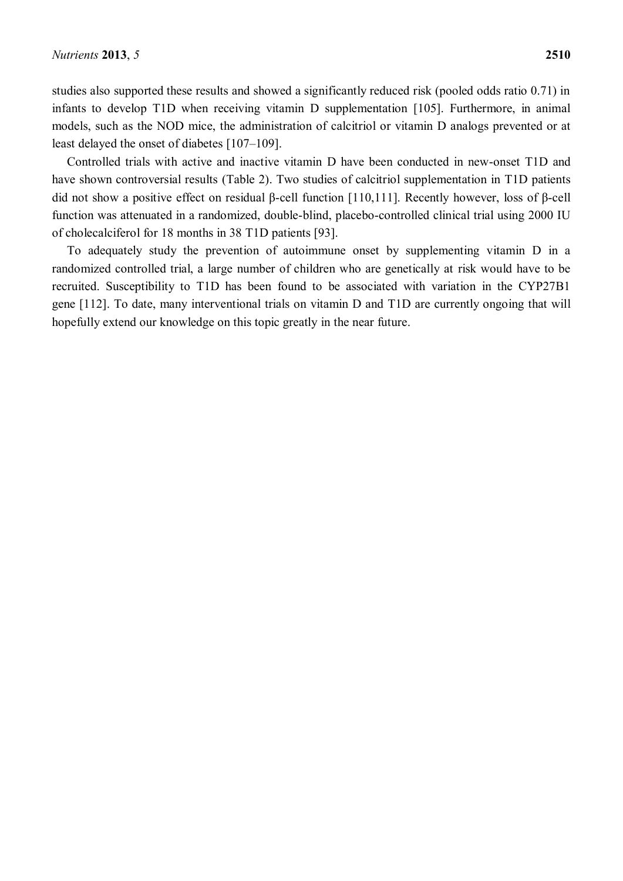studies also supported these results and showed a significantly reduced risk (pooled odds ratio 0.71) in infants to develop T1D when receiving vitamin D supplementation [105]. Furthermore, in animal models, such as the NOD mice, the administration of calcitriol or vitamin D analogs prevented or at least delayed the onset of diabetes [107–109].

Controlled trials with active and inactive vitamin D have been conducted in new-onset T1D and have shown controversial results (Table 2). Two studies of calcitriol supplementation in T1D patients did not show a positive effect on residual β-cell function [110,111]. Recently however, loss of β-cell function was attenuated in a randomized, double-blind, placebo-controlled clinical trial using 2000 IU of cholecalciferol for 18 months in 38 T1D patients [93].

To adequately study the prevention of autoimmune onset by supplementing vitamin D in a randomized controlled trial, a large number of children who are genetically at risk would have to be recruited. Susceptibility to T1D has been found to be associated with variation in the CYP27B1 gene [112]. To date, many interventional trials on vitamin D and T1D are currently ongoing that will hopefully extend our knowledge on this topic greatly in the near future.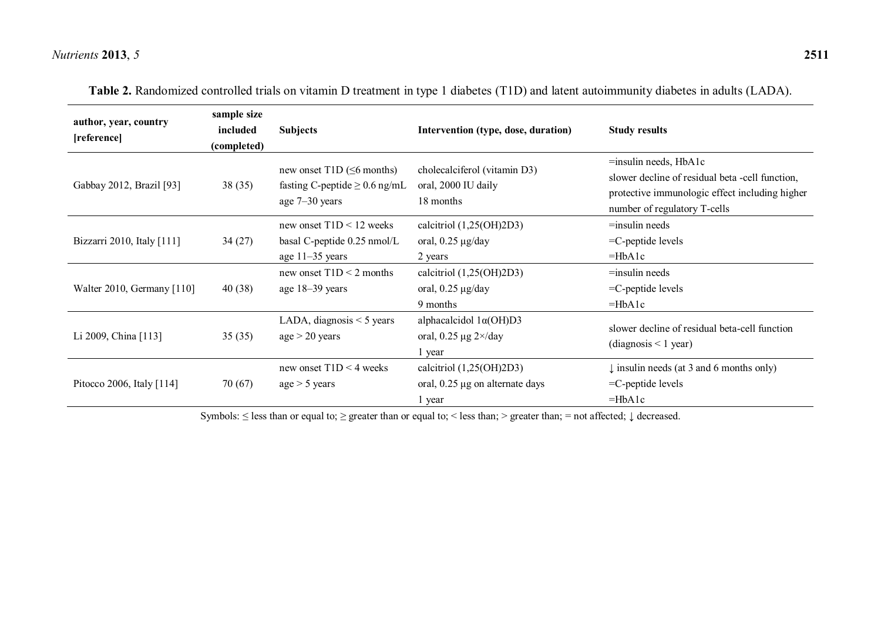# *Nutrients* **2013**, *5* **2511**

| author, year, country<br>[reference] | sample size<br>included<br>(completed) | <b>Subjects</b>                                                                          | Intervention (type, dose, duration)                                          | <b>Study results</b>                                                                                                                                          |
|--------------------------------------|----------------------------------------|------------------------------------------------------------------------------------------|------------------------------------------------------------------------------|---------------------------------------------------------------------------------------------------------------------------------------------------------------|
| Gabbay 2012, Brazil [93]             | 38(35)                                 | new onset $T1D \leq 6$ months)<br>fasting C-peptide $\geq 0.6$ ng/mL<br>age $7-30$ years | cholecalciferol (vitamin D3)<br>oral, 2000 IU daily<br>18 months             | $=$ insulin needs, HbA1c<br>slower decline of residual beta -cell function,<br>protective immunologic effect including higher<br>number of regulatory T-cells |
| Bizzarri 2010, Italy [111]           | 34(27)                                 | new onset $T1D < 12$ weeks<br>basal C-peptide 0.25 nmol/L<br>age $11-35$ years           | calcitriol $(1,25(OH)2D3)$<br>oral, $0.25 \mu g/day$<br>2 years              | $=$ insulin needs<br>$=C$ -peptide levels<br>$=$ HbA1c                                                                                                        |
| Walter 2010, Germany [110]           | 40(38)                                 | new onset $T1D < 2$ months<br>age 18–39 years                                            | calcitriol $(1,25(OH)2D3)$<br>oral, $0.25 \mu g/day$<br>9 months             | $=$ insulin needs<br>$=C$ -peptide levels<br>$=$ HbA1 $\circ$                                                                                                 |
| Li 2009, China [113]                 | 35(35)                                 | LADA, diagnosis $<$ 5 years<br>age > 20 years                                            | alphacalcidol $1\alpha(OH)D3$<br>oral, 0.25 $\mu$ g 2×/day<br>1 year         | slower decline of residual beta-cell function<br>(diagnosis < 1 year)                                                                                         |
| Pitocco 2006, Italy [114]            | 70 (67)                                | new onset $T1D < 4$ weeks<br>$age > 5 \text{ years}$                                     | calcitriol $(1,25(OH)2D3)$<br>oral, $0.25 \mu g$ on alternate days<br>1 year | $\downarrow$ insulin needs (at 3 and 6 months only)<br>$=C$ -peptide levels<br>$=$ HbA1c                                                                      |

**Table 2.** Randomized controlled trials on vitamin D treatment in type 1 diabetes (T1D) and latent autoimmunity diabetes in adults (LADA).

Symbols: ≤ less than or equal to; ≥ greater than or equal to; < less than; > greater than; = not affected; ↓ decreased.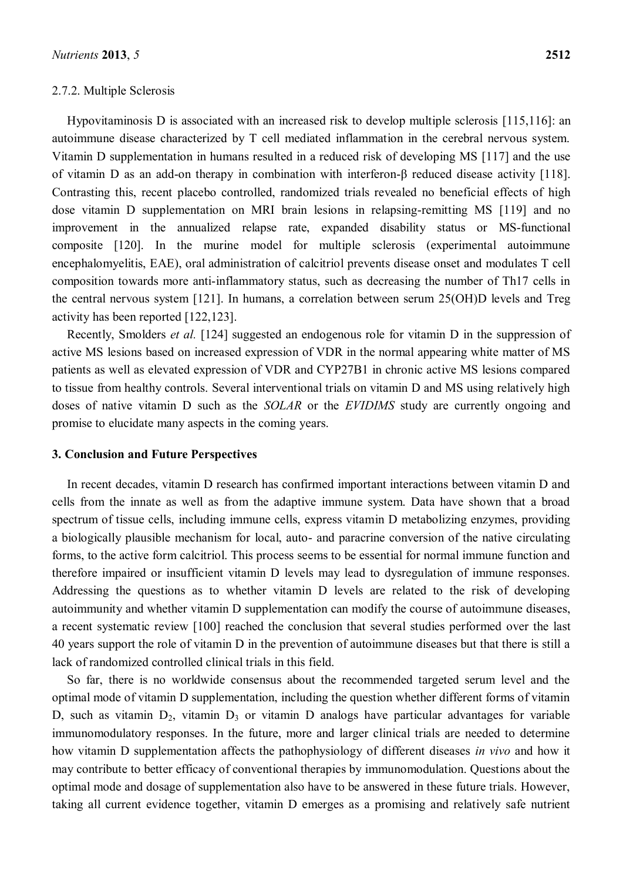#### 2.7.2. Multiple Sclerosis

Hypovitaminosis D is associated with an increased risk to develop multiple sclerosis [115,116]: an autoimmune disease characterized by T cell mediated inflammation in the cerebral nervous system. Vitamin D supplementation in humans resulted in a reduced risk of developing MS [117] and the use of vitamin D as an add-on therapy in combination with interferon-β reduced disease activity [118]. Contrasting this, recent placebo controlled, randomized trials revealed no beneficial effects of high dose vitamin D supplementation on MRI brain lesions in relapsing-remitting MS [119] and no improvement in the annualized relapse rate, expanded disability status or MS-functional composite [120]. In the murine model for multiple sclerosis (experimental autoimmune encephalomyelitis, EAE), oral administration of calcitriol prevents disease onset and modulates T cell composition towards more anti-inflammatory status, such as decreasing the number of Th17 cells in the central nervous system [121]. In humans, a correlation between serum 25(OH)D levels and Treg activity has been reported [122,123].

Recently, Smolders *et al.* [124] suggested an endogenous role for vitamin D in the suppression of active MS lesions based on increased expression of VDR in the normal appearing white matter of MS patients as well as elevated expression of VDR and CYP27B1 in chronic active MS lesions compared to tissue from healthy controls. Several interventional trials on vitamin D and MS using relatively high doses of native vitamin D such as the *SOLAR* or the *EVIDIMS* study are currently ongoing and promise to elucidate many aspects in the coming years.

#### **3. Conclusion and Future Perspectives**

In recent decades, vitamin D research has confirmed important interactions between vitamin D and cells from the innate as well as from the adaptive immune system. Data have shown that a broad spectrum of tissue cells, including immune cells, express vitamin D metabolizing enzymes, providing a biologically plausible mechanism for local, auto- and paracrine conversion of the native circulating forms, to the active form calcitriol. This process seems to be essential for normal immune function and therefore impaired or insufficient vitamin D levels may lead to dysregulation of immune responses. Addressing the questions as to whether vitamin D levels are related to the risk of developing autoimmunity and whether vitamin D supplementation can modify the course of autoimmune diseases, a recent systematic review [100] reached the conclusion that several studies performed over the last 40 years support the role of vitamin D in the prevention of autoimmune diseases but that there is still a lack of randomized controlled clinical trials in this field.

So far, there is no worldwide consensus about the recommended targeted serum level and the optimal mode of vitamin D supplementation, including the question whether different forms of vitamin D, such as vitamin  $D_2$ , vitamin  $D_3$  or vitamin D analogs have particular advantages for variable immunomodulatory responses. In the future, more and larger clinical trials are needed to determine how vitamin D supplementation affects the pathophysiology of different diseases *in vivo* and how it may contribute to better efficacy of conventional therapies by immunomodulation. Questions about the optimal mode and dosage of supplementation also have to be answered in these future trials. However, taking all current evidence together, vitamin D emerges as a promising and relatively safe nutrient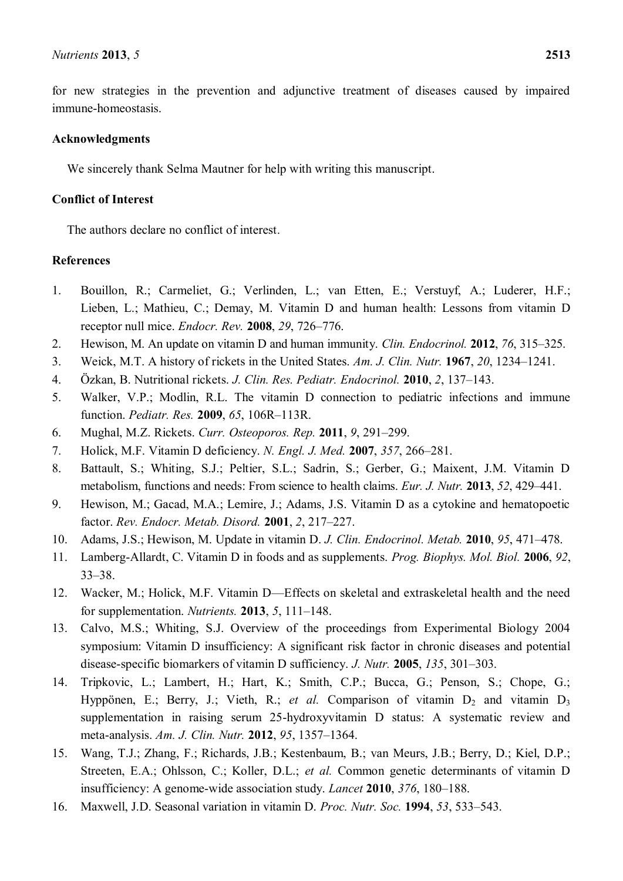for new strategies in the prevention and adjunctive treatment of diseases caused by impaired immune-homeostasis.

# **Acknowledgments**

We sincerely thank Selma Mautner for help with writing this manuscript.

# **Conflict of Interest**

The authors declare no conflict of interest.

# **References**

- 1. Bouillon, R.; Carmeliet, G.; Verlinden, L.; van Etten, E.; Verstuyf, A.; Luderer, H.F.; Lieben, L.; Mathieu, C.; Demay, M. Vitamin D and human health: Lessons from vitamin D receptor null mice. *Endocr. Rev.* **2008**, *29*, 726–776.
- 2. Hewison, M. An update on vitamin D and human immunity. *Clin. Endocrinol.* **2012**, *76*, 315–325.
- 3. Weick, M.T. A history of rickets in the United States. *Am. J. Clin. Nutr.* **1967**, *20*, 1234–1241.
- 4. Özkan, B. Nutritional rickets. *J. Clin. Res. Pediatr. Endocrinol.* **2010**, *2*, 137–143.
- 5. Walker, V.P.; Modlin, R.L. The vitamin D connection to pediatric infections and immune function. *Pediatr. Res.* **2009**, *65*, 106R–113R.
- 6. Mughal, M.Z. Rickets. *Curr. Osteoporos. Rep.* **2011**, *9*, 291–299.
- 7. Holick, M.F. Vitamin D deficiency. *N. Engl. J. Med.* **2007**, *357*, 266–281.
- 8. Battault, S.; Whiting, S.J.; Peltier, S.L.; Sadrin, S.; Gerber, G.; Maixent, J.M. Vitamin D metabolism, functions and needs: From science to health claims. *Eur. J. Nutr.* **2013**, *52*, 429–441.
- 9. Hewison, M.; Gacad, M.A.; Lemire, J.; Adams, J.S. Vitamin D as a cytokine and hematopoetic factor. *Rev. Endocr. Metab. Disord.* **2001**, *2*, 217–227.
- 10. Adams, J.S.; Hewison, M. Update in vitamin D. *J. Clin. Endocrinol. Metab.* **2010**, *95*, 471–478.
- 11. Lamberg-Allardt, C. Vitamin D in foods and as supplements. *Prog. Biophys. Mol. Biol.* **2006**, *92*, 33–38.
- 12. Wacker, M.; Holick, M.F. Vitamin D—Effects on skeletal and extraskeletal health and the need for supplementation. *Nutrients.* **2013**, *5*, 111–148.
- 13. Calvo, M.S.; Whiting, S.J. Overview of the proceedings from Experimental Biology 2004 symposium: Vitamin D insufficiency: A significant risk factor in chronic diseases and potential disease-specific biomarkers of vitamin D sufficiency. *J. Nutr.* **2005**, *135*, 301–303.
- 14. Tripkovic, L.; Lambert, H.; Hart, K.; Smith, C.P.; Bucca, G.; Penson, S.; Chope, G.; Hyppönen, E.; Berry, J.; Vieth, R.; *et al.* Comparison of vitamin  $D_2$  and vitamin  $D_3$ supplementation in raising serum 25-hydroxyvitamin D status: A systematic review and meta-analysis. *Am. J. Clin. Nutr.* **2012**, *95*, 1357–1364.
- 15. Wang, T.J.; Zhang, F.; Richards, J.B.; Kestenbaum, B.; van Meurs, J.B.; Berry, D.; Kiel, D.P.; Streeten, E.A.; Ohlsson, C.; Koller, D.L.; *et al.* Common genetic determinants of vitamin D insufficiency: A genome-wide association study. *Lancet* **2010**, *376*, 180–188.
- 16. Maxwell, J.D. Seasonal variation in vitamin D. *Proc. Nutr. Soc.* **1994**, *53*, 533–543.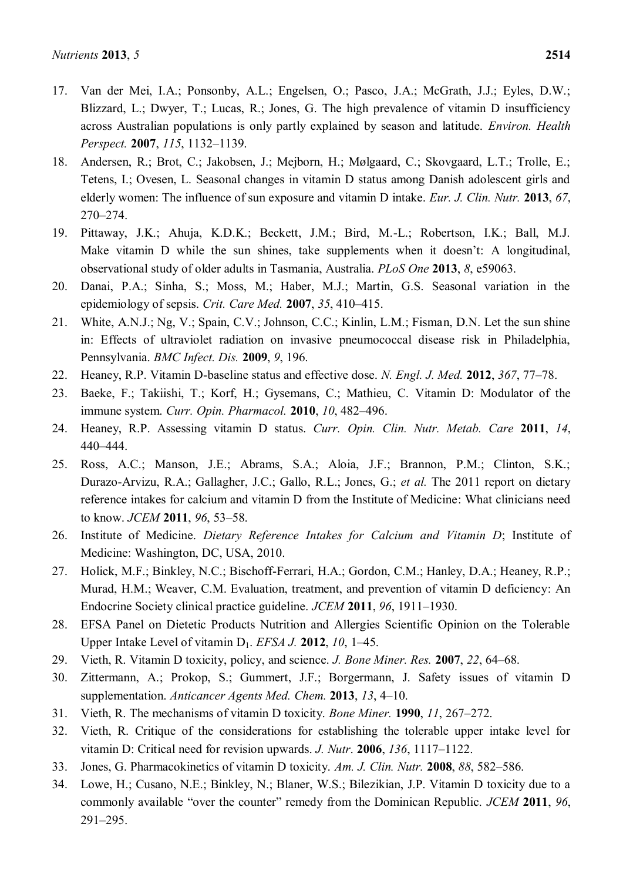- 17. Van der Mei, I.A.; Ponsonby, A.L.; Engelsen, O.; Pasco, J.A.; McGrath, J.J.; Eyles, D.W.; Blizzard, L.; Dwyer, T.; Lucas, R.; Jones, G. The high prevalence of vitamin D insufficiency across Australian populations is only partly explained by season and latitude. *Environ. Health Perspect.* **2007**, *115*, 1132–1139.
- 18. Andersen, R.; Brot, C.; Jakobsen, J.; Mejborn, H.; Mølgaard, C.; Skovgaard, L.T.; Trolle, E.; Tetens, I.; Ovesen, L. Seasonal changes in vitamin D status among Danish adolescent girls and elderly women: The influence of sun exposure and vitamin D intake. *Eur. J. Clin. Nutr.* **2013**, *67*, 270–274.
- 19. Pittaway, J.K.; Ahuja, K.D.K.; Beckett, J.M.; Bird, M.-L.; Robertson, I.K.; Ball, M.J. Make vitamin D while the sun shines, take supplements when it doesn't: A longitudinal, observational study of older adults in Tasmania, Australia. *PLoS One* **2013**, *8*, e59063.
- 20. Danai, P.A.; Sinha, S.; Moss, M.; Haber, M.J.; Martin, G.S. Seasonal variation in the epidemiology of sepsis. *Crit. Care Med.* **2007**, *35*, 410–415.
- 21. White, A.N.J.; Ng, V.; Spain, C.V.; Johnson, C.C.; Kinlin, L.M.; Fisman, D.N. Let the sun shine in: Effects of ultraviolet radiation on invasive pneumococcal disease risk in Philadelphia, Pennsylvania. *BMC Infect. Dis.* **2009**, *9*, 196.
- 22. Heaney, R.P. Vitamin D-baseline status and effective dose. *N. Engl. J. Med.* **2012**, *367*, 77–78.
- 23. Baeke, F.; Takiishi, T.; Korf, H.; Gysemans, C.; Mathieu, C. Vitamin D: Modulator of the immune system. *Curr. Opin. Pharmacol.* **2010**, *10*, 482–496.
- 24. Heaney, R.P. Assessing vitamin D status. *Curr. Opin. Clin. Nutr. Metab. Care* **2011**, *14*, 440–444.
- 25. Ross, A.C.; Manson, J.E.; Abrams, S.A.; Aloia, J.F.; Brannon, P.M.; Clinton, S.K.; Durazo-Arvizu, R.A.; Gallagher, J.C.; Gallo, R.L.; Jones, G.; *et al.* The 2011 report on dietary reference intakes for calcium and vitamin D from the Institute of Medicine: What clinicians need to know. *JCEM* **2011**, *96*, 53–58.
- 26. Institute of Medicine. *Dietary Reference Intakes for Calcium and Vitamin D*; Institute of Medicine: Washington, DC, USA, 2010.
- 27. Holick, M.F.; Binkley, N.C.; Bischoff-Ferrari, H.A.; Gordon, C.M.; Hanley, D.A.; Heaney, R.P.; Murad, H.M.; Weaver, C.M. Evaluation, treatment, and prevention of vitamin D deficiency: An Endocrine Society clinical practice guideline. *JCEM* **2011**, *96*, 1911–1930.
- 28. EFSA Panel on Dietetic Products Nutrition and Allergies Scientific Opinion on the Tolerable Upper Intake Level of vitamin D1. *EFSA J.* **2012**, *10*, 1–45.
- 29. Vieth, R. Vitamin D toxicity, policy, and science. *J. Bone Miner. Res.* **2007**, *22*, 64–68.
- 30. Zittermann, A.; Prokop, S.; Gummert, J.F.; Borgermann, J. Safety issues of vitamin D supplementation. *Anticancer Agents Med. Chem.* **2013**, *13*, 4–10.
- 31. Vieth, R. The mechanisms of vitamin D toxicity. *Bone Miner.* **1990**, *11*, 267–272.
- 32. Vieth, R. Critique of the considerations for establishing the tolerable upper intake level for vitamin D: Critical need for revision upwards. *J. Nutr*. **2006**, *136*, 1117–1122.
- 33. Jones, G. Pharmacokinetics of vitamin D toxicity. *Am. J. Clin. Nutr.* **2008**, *88*, 582–586.
- 34. Lowe, H.; Cusano, N.E.; Binkley, N.; Blaner, W.S.; Bilezikian, J.P. Vitamin D toxicity due to a commonly available "over the counter" remedy from the Dominican Republic. *JCEM* 2011, 96, 291–295.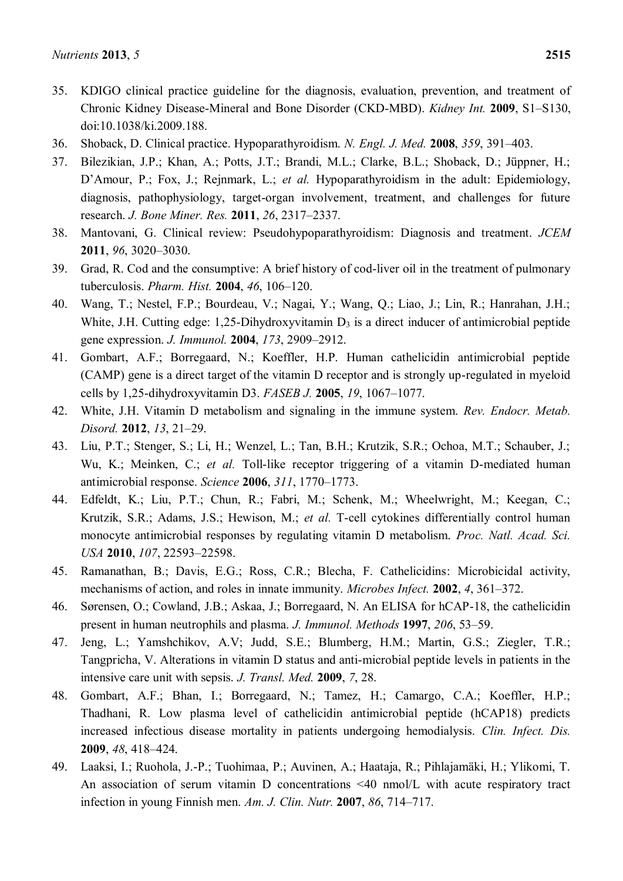- 35. KDIGO clinical practice guideline for the diagnosis, evaluation, prevention, and treatment of Chronic Kidney Disease-Mineral and Bone Disorder (CKD-MBD). *Kidney Int.* **2009**, S1–S130, doi:10.1038/ki.2009.188.
- 36. Shoback, D. Clinical practice. Hypoparathyroidism. *N. Engl. J. Med.* **2008**, *359*, 391–403.
- 37. Bilezikian, J.P.; Khan, A.; Potts, J.T.; Brandi, M.L.; Clarke, B.L.; Shoback, D.; Jüppner, H.; D'Amour, P.; Fox, J.; Rejnmark, L.; *et al.* Hypoparathyroidism in the adult: Epidemiology, diagnosis, pathophysiology, target-organ involvement, treatment, and challenges for future research. *J. Bone Miner. Res.* **2011**, *26*, 2317–2337.
- 38. Mantovani, G. Clinical review: Pseudohypoparathyroidism: Diagnosis and treatment. *JCEM* **2011**, *96*, 3020–3030.
- 39. Grad, R. Cod and the consumptive: A brief history of cod-liver oil in the treatment of pulmonary tuberculosis. *Pharm. Hist.* **2004**, *46*, 106–120.
- 40. Wang, T.; Nestel, F.P.; Bourdeau, V.; Nagai, Y.; Wang, Q.; Liao, J.; Lin, R.; Hanrahan, J.H.; White, J.H. Cutting edge:  $1,25$ -Dihydroxyvitamin  $D_3$  is a direct inducer of antimicrobial peptide gene expression. *J. Immunol.* **2004**, *173*, 2909–2912.
- 41. Gombart, A.F.; Borregaard, N.; Koeffler, H.P. Human cathelicidin antimicrobial peptide (CAMP) gene is a direct target of the vitamin D receptor and is strongly up-regulated in myeloid cells by 1,25-dihydroxyvitamin D3. *FASEB J.* **2005**, *19*, 1067–1077.
- 42. White, J.H. Vitamin D metabolism and signaling in the immune system. *Rev. Endocr. Metab. Disord.* **2012**, *13*, 21–29.
- 43. Liu, P.T.; Stenger, S.; Li, H.; Wenzel, L.; Tan, B.H.; Krutzik, S.R.; Ochoa, M.T.; Schauber, J.; Wu, K.; Meinken, C.; *et al.* Toll-like receptor triggering of a vitamin D-mediated human antimicrobial response. *Science* **2006**, *311*, 1770–1773.
- 44. Edfeldt, K.; Liu, P.T.; Chun, R.; Fabri, M.; Schenk, M.; Wheelwright, M.; Keegan, C.; Krutzik, S.R.; Adams, J.S.; Hewison, M.; *et al.* T-cell cytokines differentially control human monocyte antimicrobial responses by regulating vitamin D metabolism. *Proc. Natl. Acad. Sci. USA* **2010**, *107*, 22593–22598.
- 45. Ramanathan, B.; Davis, E.G.; Ross, C.R.; Blecha, F. Cathelicidins: Microbicidal activity, mechanisms of action, and roles in innate immunity. *Microbes Infect.* **2002**, *4*, 361–372.
- 46. Sørensen, O.; Cowland, J.B.; Askaa, J.; Borregaard, N. An ELISA for hCAP-18, the cathelicidin present in human neutrophils and plasma. *J. Immunol. Methods* **1997**, *206*, 53–59.
- 47. Jeng, L.; Yamshchikov, A.V; Judd, S.E.; Blumberg, H.M.; Martin, G.S.; Ziegler, T.R.; Tangpricha, V. Alterations in vitamin D status and anti-microbial peptide levels in patients in the intensive care unit with sepsis. *J. Transl. Med.* **2009**, *7*, 28.
- 48. Gombart, A.F.; Bhan, I.; Borregaard, N.; Tamez, H.; Camargo, C.A.; Koeffler, H.P.; Thadhani, R. Low plasma level of cathelicidin antimicrobial peptide (hCAP18) predicts increased infectious disease mortality in patients undergoing hemodialysis. *Clin. Infect. Dis.* **2009**, *48*, 418–424.
- 49. Laaksi, I.; Ruohola, J.-P.; Tuohimaa, P.; Auvinen, A.; Haataja, R.; Pihlajamäki, H.; Ylikomi, T. An association of serum vitamin D concentrations <40 nmol/L with acute respiratory tract infection in young Finnish men. *Am. J. Clin. Nutr.* **2007**, *86*, 714–717.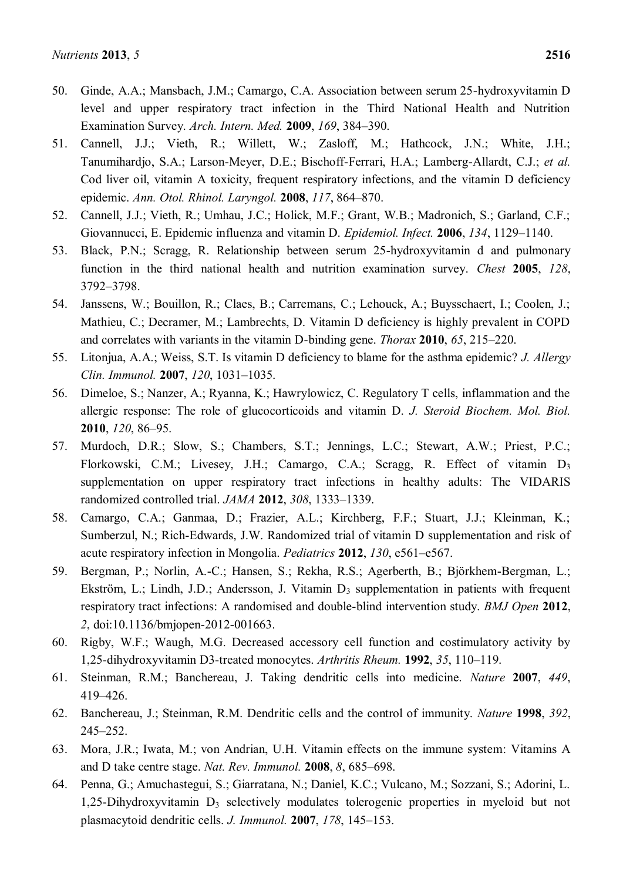- 50. Ginde, A.A.; Mansbach, J.M.; Camargo, C.A. Association between serum 25-hydroxyvitamin D level and upper respiratory tract infection in the Third National Health and Nutrition Examination Survey. *Arch. Intern. Med.* **2009**, *169*, 384–390.
- 51. Cannell, J.J.; Vieth, R.; Willett, W.; Zasloff, M.; Hathcock, J.N.; White, J.H.; Tanumihardjo, S.A.; Larson-Meyer, D.E.; Bischoff-Ferrari, H.A.; Lamberg-Allardt, C.J.; *et al.* Cod liver oil, vitamin A toxicity, frequent respiratory infections, and the vitamin D deficiency epidemic. *Ann. Otol. Rhinol. Laryngol.* **2008**, *117*, 864–870.
- 52. Cannell, J.J.; Vieth, R.; Umhau, J.C.; Holick, M.F.; Grant, W.B.; Madronich, S.; Garland, C.F.; Giovannucci, E. Epidemic influenza and vitamin D. *Epidemiol. Infect.* **2006**, *134*, 1129–1140.
- 53. Black, P.N.; Scragg, R. Relationship between serum 25-hydroxyvitamin d and pulmonary function in the third national health and nutrition examination survey. *Chest* **2005**, *128*, 3792–3798.
- 54. Janssens, W.; Bouillon, R.; Claes, B.; Carremans, C.; Lehouck, A.; Buysschaert, I.; Coolen, J.; Mathieu, C.; Decramer, M.; Lambrechts, D. Vitamin D deficiency is highly prevalent in COPD and correlates with variants in the vitamin D-binding gene. *Thorax* **2010**, *65*, 215–220.
- 55. Litonjua, A.A.; Weiss, S.T. Is vitamin D deficiency to blame for the asthma epidemic? *J. Allergy Clin. Immunol.* **2007**, *120*, 1031–1035.
- 56. Dimeloe, S.; Nanzer, A.; Ryanna, K.; Hawrylowicz, C. Regulatory T cells, inflammation and the allergic response: The role of glucocorticoids and vitamin D. *J. Steroid Biochem. Mol. Biol.*  **2010**, *120*, 86–95.
- 57. Murdoch, D.R.; Slow, S.; Chambers, S.T.; Jennings, L.C.; Stewart, A.W.; Priest, P.C.; Florkowski, C.M.; Livesey, J.H.; Camargo, C.A.; Scragg, R. Effect of vitamin D<sub>3</sub> supplementation on upper respiratory tract infections in healthy adults: The VIDARIS randomized controlled trial. *JAMA* **2012**, *308*, 1333–1339.
- 58. Camargo, C.A.; Ganmaa, D.; Frazier, A.L.; Kirchberg, F.F.; Stuart, J.J.; Kleinman, K.; Sumberzul, N.; Rich-Edwards, J.W. Randomized trial of vitamin D supplementation and risk of acute respiratory infection in Mongolia. *Pediatrics* **2012**, *130*, e561–e567.
- 59. Bergman, P.; Norlin, A.-C.; Hansen, S.; Rekha, R.S.; Agerberth, B.; Björkhem-Bergman, L.; Ekström, L.; Lindh, J.D.; Andersson, J. Vitamin D<sub>3</sub> supplementation in patients with frequent respiratory tract infections: A randomised and double-blind intervention study. *BMJ Open* **2012**, *2*, doi:10.1136/bmjopen-2012-001663.
- 60. Rigby, W.F.; Waugh, M.G. Decreased accessory cell function and costimulatory activity by 1,25-dihydroxyvitamin D3-treated monocytes. *Arthritis Rheum.* **1992**, *35*, 110–119.
- 61. Steinman, R.M.; Banchereau, J. Taking dendritic cells into medicine. *Nature* **2007**, *449*, 419–426.
- 62. Banchereau, J.; Steinman, R.M. Dendritic cells and the control of immunity. *Nature* **1998**, *392*, 245–252.
- 63. Mora, J.R.; Iwata, M.; von Andrian, U.H. Vitamin effects on the immune system: Vitamins A and D take centre stage. *Nat. Rev. Immunol.* **2008**, *8*, 685–698.
- 64. Penna, G.; Amuchastegui, S.; Giarratana, N.; Daniel, K.C.; Vulcano, M.; Sozzani, S.; Adorini, L. 1,25-Dihydroxyvitamin D<sup>3</sup> selectively modulates tolerogenic properties in myeloid but not plasmacytoid dendritic cells. *J. Immunol.* **2007**, *178*, 145–153.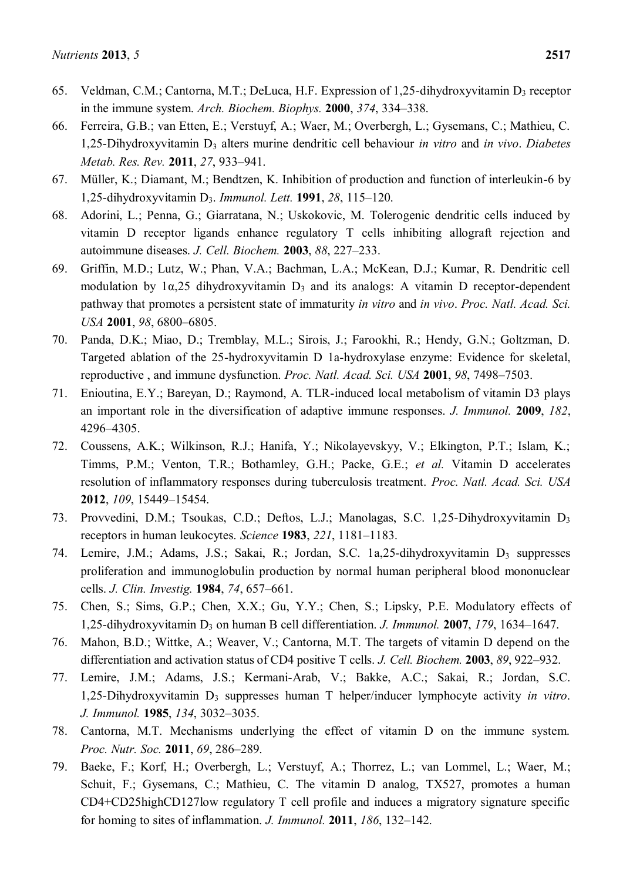- 65. Veldman, C.M.; Cantorna, M.T.; DeLuca, H.F. Expression of 1,25-dihydroxyvitamin D<sub>3</sub> receptor in the immune system. *Arch. Biochem. Biophys.* **2000**, *374*, 334–338.
- 66. Ferreira, G.B.; van Etten, E.; Verstuyf, A.; Waer, M.; Overbergh, L.; Gysemans, C.; Mathieu, C. 1,25-Dihydroxyvitamin D<sup>3</sup> alters murine dendritic cell behaviour *in vitro* and *in vivo*. *Diabetes Metab. Res. Rev.* **2011**, *27*, 933–941.
- 67. Müller, K.; Diamant, M.; Bendtzen, K. Inhibition of production and function of interleukin-6 by 1,25-dihydroxyvitamin D3. *Immunol. Lett.* **1991**, *28*, 115–120.
- 68. Adorini, L.; Penna, G.; Giarratana, N.; Uskokovic, M. Tolerogenic dendritic cells induced by vitamin D receptor ligands enhance regulatory T cells inhibiting allograft rejection and autoimmune diseases. *J. Cell. Biochem.* **2003**, *88*, 227–233.
- 69. Griffin, M.D.; Lutz, W.; Phan, V.A.; Bachman, L.A.; McKean, D.J.; Kumar, R. Dendritic cell modulation by  $1\alpha$ ,25 dihydroxyvitamin  $D_3$  and its analogs: A vitamin D receptor-dependent pathway that promotes a persistent state of immaturity *in vitro* and *in vivo*. *Proc. Natl. Acad. Sci. USA* **2001**, *98*, 6800–6805.
- 70. Panda, D.K.; Miao, D.; Tremblay, M.L.; Sirois, J.; Farookhi, R.; Hendy, G.N.; Goltzman, D. Targeted ablation of the 25-hydroxyvitamin D 1a-hydroxylase enzyme: Evidence for skeletal, reproductive , and immune dysfunction. *Proc. Natl. Acad. Sci. USA* **2001**, *98*, 7498–7503.
- 71. Enioutina, E.Y.; Bareyan, D.; Raymond, A. TLR-induced local metabolism of vitamin D3 plays an important role in the diversification of adaptive immune responses. *J. Immunol.* **2009**, *182*, 4296–4305.
- 72. Coussens, A.K.; Wilkinson, R.J.; Hanifa, Y.; Nikolayevskyy, V.; Elkington, P.T.; Islam, K.; Timms, P.M.; Venton, T.R.; Bothamley, G.H.; Packe, G.E.; *et al.* Vitamin D accelerates resolution of inflammatory responses during tuberculosis treatment. *Proc. Natl. Acad. Sci. USA* **2012**, *109*, 15449–15454.
- 73. Provvedini, D.M.; Tsoukas, C.D.; Deftos, L.J.; Manolagas, S.C. 1,25-Dihydroxyvitamin D<sup>3</sup> receptors in human leukocytes. *Science* **1983**, *221*, 1181–1183.
- 74. Lemire, J.M.; Adams, J.S.; Sakai, R.; Jordan, S.C. 1a, 25-dihydroxyvitamin D<sub>3</sub> suppresses proliferation and immunoglobulin production by normal human peripheral blood mononuclear cells. *J. Clin. Investig.* **1984**, *74*, 657–661.
- 75. Chen, S.; Sims, G.P.; Chen, X.X.; Gu, Y.Y.; Chen, S.; Lipsky, P.E. Modulatory effects of 1,25-dihydroxyvitamin D<sup>3</sup> on human B cell differentiation. *J. Immunol.* **2007**, *179*, 1634–1647.
- 76. Mahon, B.D.; Wittke, A.; Weaver, V.; Cantorna, M.T. The targets of vitamin D depend on the differentiation and activation status of CD4 positive T cells. *J. Cell. Biochem.* **2003**, *89*, 922–932.
- 77. Lemire, J.M.; Adams, J.S.; Kermani-Arab, V.; Bakke, A.C.; Sakai, R.; Jordan, S.C. 1,25-Dihydroxyvitamin D<sup>3</sup> suppresses human T helper/inducer lymphocyte activity *in vitro*. *J. Immunol.* **1985**, *134*, 3032–3035.
- 78. Cantorna, M.T. Mechanisms underlying the effect of vitamin D on the immune system. *Proc. Nutr. Soc.* **2011**, *69*, 286–289.
- 79. Baeke, F.; Korf, H.; Overbergh, L.; Verstuyf, A.; Thorrez, L.; van Lommel, L.; Waer, M.; Schuit, F.; Gysemans, C.; Mathieu, C. The vitamin D analog, TX527, promotes a human CD4+CD25highCD127low regulatory T cell profile and induces a migratory signature specific for homing to sites of inflammation. *J. Immunol.* **2011**, *186*, 132–142.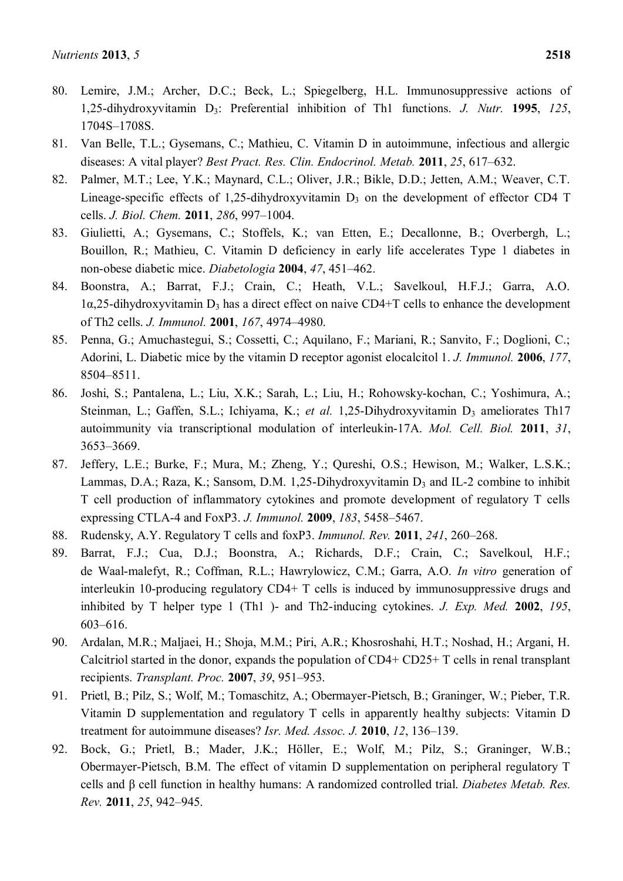- 80. Lemire, J.M.; Archer, D.C.; Beck, L.; Spiegelberg, H.L. Immunosuppressive actions of 1,25-dihydroxyvitamin D3: Preferential inhibition of Th1 functions. *J. Nutr.* **1995**, *125*, 1704S–1708S.
- 81. Van Belle, T.L.; Gysemans, C.; Mathieu, C. Vitamin D in autoimmune, infectious and allergic diseases: A vital player? *Best Pract. Res. Clin. Endocrinol. Metab.* **2011**, *25*, 617–632.
- 82. Palmer, M.T.; Lee, Y.K.; Maynard, C.L.; Oliver, J.R.; Bikle, D.D.; Jetten, A.M.; Weaver, C.T. Lineage-specific effects of 1,25-dihydroxyvitamin  $D_3$  on the development of effector CD4 T cells. *J. Biol. Chem.* **2011**, *286*, 997–1004.
- 83. Giulietti, A.; Gysemans, C.; Stoffels, K.; van Etten, E.; Decallonne, B.; Overbergh, L.; Bouillon, R.; Mathieu, C. Vitamin D deficiency in early life accelerates Type 1 diabetes in non-obese diabetic mice. *Diabetologia* **2004**, *47*, 451–462.
- 84. Boonstra, A.; Barrat, F.J.; Crain, C.; Heath, V.L.; Savelkoul, H.F.J.; Garra, A.O.  $1\alpha$ ,25-dihydroxyvitamin D<sub>3</sub> has a direct effect on naive CD4+T cells to enhance the development of Th2 cells. *J. Immunol.* **2001**, *167*, 4974–4980.
- 85. Penna, G.; Amuchastegui, S.; Cossetti, C.; Aquilano, F.; Mariani, R.; Sanvito, F.; Doglioni, C.; Adorini, L. Diabetic mice by the vitamin D receptor agonist elocalcitol 1. *J. Immunol.* **2006**, *177*, 8504–8511.
- 86. Joshi, S.; Pantalena, L.; Liu, X.K.; Sarah, L.; Liu, H.; Rohowsky-kochan, C.; Yoshimura, A.; Steinman, L.; Gaffen, S.L.; Ichiyama, K.; *et al.* 1,25-Dihydroxyvitamin  $D_3$  ameliorates Th17 autoimmunity via transcriptional modulation of interleukin-17A. *Mol. Cell. Biol.* **2011**, *31*, 3653–3669.
- 87. Jeffery, L.E.; Burke, F.; Mura, M.; Zheng, Y.; Qureshi, O.S.; Hewison, M.; Walker, L.S.K.; Lammas, D.A.; Raza, K.; Sansom, D.M. 1,25-Dihydroxyvitamin  $D_3$  and IL-2 combine to inhibit T cell production of inflammatory cytokines and promote development of regulatory T cells expressing CTLA-4 and FoxP3. *J. Immunol.* **2009**, *183*, 5458–5467.
- 88. Rudensky, A.Y. Regulatory T cells and foxP3. *Immunol. Rev.* **2011**, *241*, 260–268.
- 89. Barrat, F.J.; Cua, D.J.; Boonstra, A.; Richards, D.F.; Crain, C.; Savelkoul, H.F.; de Waal-malefyt, R.; Coffman, R.L.; Hawrylowicz, C.M.; Garra, A.O. *In vitro* generation of interleukin 10-producing regulatory CD4+ T cells is induced by immunosuppressive drugs and inhibited by T helper type 1 (Th1 )- and Th2-inducing cytokines. *J. Exp. Med.* **2002**, *195*, 603–616.
- 90. Ardalan, M.R.; Maljaei, H.; Shoja, M.M.; Piri, A.R.; Khosroshahi, H.T.; Noshad, H.; Argani, H. Calcitriol started in the donor, expands the population of CD4+ CD25+ T cells in renal transplant recipients. *Transplant. Proc.* **2007**, *39*, 951–953.
- 91. Prietl, B.; Pilz, S.; Wolf, M.; Tomaschitz, A.; Obermayer-Pietsch, B.; Graninger, W.; Pieber, T.R. Vitamin D supplementation and regulatory T cells in apparently healthy subjects: Vitamin D treatment for autoimmune diseases? *Isr. Med. Assoc. J.* **2010**, *12*, 136–139.
- 92. Bock, G.; Prietl, B.; Mader, J.K.; [Höller,](http://www.ncbi.nlm.nih.gov/pubmed?term=H%C3%B6ller%20E%5BAuthor%5D&cauthor=true&cauthor_uid=22069289) E.; Wolf, M.; Pilz, S.; [Graninger,](http://www.ncbi.nlm.nih.gov/pubmed?term=Graninger%20WB%5BAuthor%5D&cauthor=true&cauthor_uid=22069289) W.B.; Obermayer[-Pietsch,](http://www.ncbi.nlm.nih.gov/pubmed?term=Obermayer-Pietsch%20BM%5BAuthor%5D&cauthor=true&cauthor_uid=22069289) B.M. The effect of vitamin D supplementation on peripheral regulatory T cells and β cell function in healthy humans: A randomized controlled trial. *Diabetes Metab. Res. Rev.* **2011**, *25*, 942–945.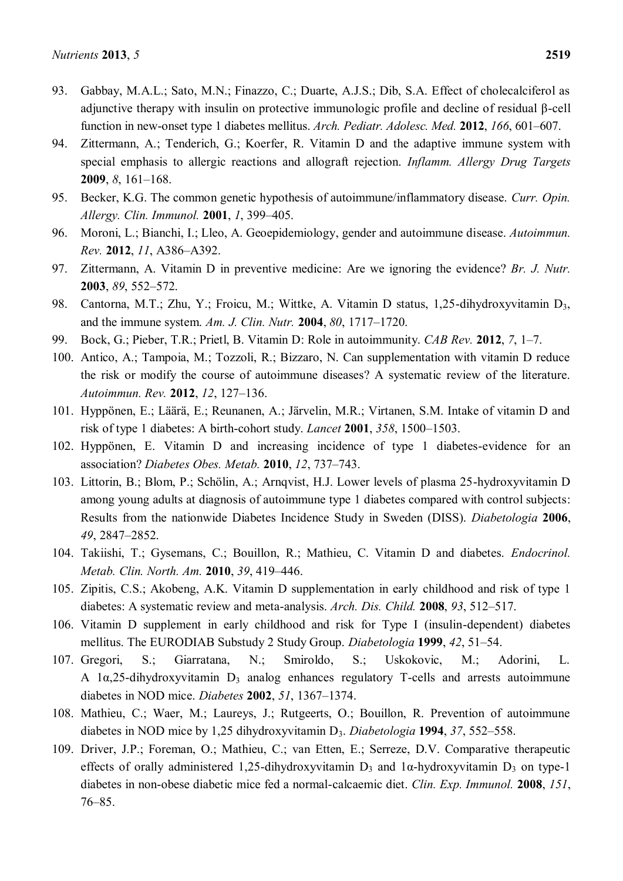- 93. Gabbay, M.A.L.; Sato, M.N.; Finazzo, C.; Duarte, A.J.S.; Dib, S.A. Effect of cholecalciferol as adjunctive therapy with insulin on protective immunologic profile and decline of residual β-cell function in new-onset type 1 diabetes mellitus. *Arch. Pediatr. Adolesc. Med.* **2012**, *166*, 601–607.
- 94. Zittermann, A.; Tenderich, G.; Koerfer, R. Vitamin D and the adaptive immune system with special emphasis to allergic reactions and allograft rejection. *Inflamm. Allergy Drug Targets* **2009**, *8*, 161–168.
- 95. Becker, K.G. The common genetic hypothesis of autoimmune/inflammatory disease. *Curr. Opin. Allergy. Clin. Immunol.* **2001**, *1*, 399–405.
- 96. Moroni, L.; Bianchi, I.; Lleo, A. Geoepidemiology, gender and autoimmune disease. *Autoimmun. Rev.* **2012**, *11*, A386–A392.
- 97. Zittermann, A. Vitamin D in preventive medicine: Are we ignoring the evidence? *Br. J. Nutr.*  **2003**, *89*, 552–572.
- 98. Cantorna, M.T.; Zhu, Y.; Froicu, M.; Wittke, A. Vitamin D status, 1,25-dihydroxyvitamin D3, and the immune system. *Am. J. Clin. Nutr.* **2004**, *80*, 1717–1720.
- 99. Bock, G.; Pieber, T.R.; Prietl, B. Vitamin D: Role in autoimmunity. *CAB Rev.* **2012**, *7*, 1–7.
- 100. Antico, A.; Tampoia, M.; Tozzoli, R.; Bizzaro, N. Can supplementation with vitamin D reduce the risk or modify the course of autoimmune diseases? A systematic review of the literature. *Autoimmun. Rev.* **2012**, *12*, 127–136.
- 101. Hyppönen, E.; Läärä, E.; Reunanen, A.; Järvelin, M.R.; Virtanen, S.M. Intake of vitamin D and risk of type 1 diabetes: A birth-cohort study. *Lancet* **2001**, *358*, 1500–1503.
- 102. Hyppönen, E. Vitamin D and increasing incidence of type 1 diabetes-evidence for an association? *Diabetes Obes. Metab.* **2010**, *12*, 737–743.
- 103. Littorin, B.; Blom, P.; Schölin, A.; Arnqvist, H.J. Lower levels of plasma 25-hydroxyvitamin D among young adults at diagnosis of autoimmune type 1 diabetes compared with control subjects: Results from the nationwide Diabetes Incidence Study in Sweden (DISS). *Diabetologia* **2006**, *49*, 2847–2852.
- 104. Takiishi, T.; Gysemans, C.; Bouillon, R.; Mathieu, C. Vitamin D and diabetes. *Endocrinol. Metab. Clin. North. Am.* **2010**, *39*, 419–446.
- 105. Zipitis, C.S.; Akobeng, A.K. Vitamin D supplementation in early childhood and risk of type 1 diabetes: A systematic review and meta-analysis. *Arch. Dis. Child.* **2008**, *93*, 512–517.
- 106. Vitamin D supplement in early childhood and risk for Type I (insulin-dependent) diabetes mellitus. The EURODIAB Substudy 2 Study Group. *Diabetologia* **1999**, *42*, 51–54.
- 107. Gregori, S.; Giarratana, N.; Smiroldo, S.; Uskokovic, M.; Adorini, L. A  $1\alpha$ , 25-dihydroxyvitamin  $D_3$  analog enhances regulatory T-cells and arrests autoimmune diabetes in NOD mice. *Diabetes* **2002**, *51*, 1367–1374.
- 108. Mathieu, C.; Waer, M.; Laureys, J.; Rutgeerts, O.; Bouillon, R. Prevention of autoimmune diabetes in NOD mice by 1,25 dihydroxyvitamin D3. *Diabetologia* **1994**, *37*, 552–558.
- 109. Driver, J.P.; Foreman, O.; Mathieu, C.; van Etten, E.; Serreze, D.V. Comparative therapeutic effects of orally administered 1,25-dihydroxyvitamin  $D_3$  and 1 $\alpha$ -hydroxyvitamin  $D_3$  on type-1 diabetes in non-obese diabetic mice fed a normal-calcaemic diet. *Clin. Exp. Immunol.* **2008**, *151*, 76–85.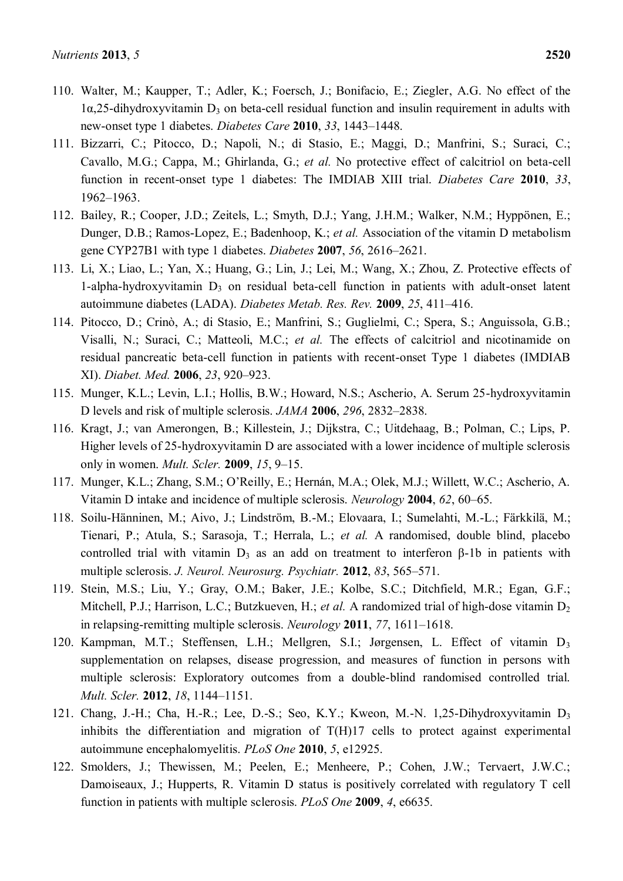- 110. Walter, M.; Kaupper, T.; Adler, K.; Foersch, J.; Bonifacio, E.; Ziegler, A.G. No effect of the  $1\alpha$ ,25-dihydroxyvitamin D<sub>3</sub> on beta-cell residual function and insulin requirement in adults with new-onset type 1 diabetes. *Diabetes Care* **2010**, *33*, 1443–1448.
- 111. Bizzarri, C.; Pitocco, D.; Napoli, N.; di Stasio, E.; Maggi, D.; Manfrini, S.; Suraci, C.; Cavallo, M.G.; Cappa, M.; Ghirlanda, G.; *et al.* No protective effect of calcitriol on beta-cell function in recent-onset type 1 diabetes: The IMDIAB XIII trial. *Diabetes Care* **2010**, *33*, 1962–1963.
- 112. Bailey, R.; Cooper, J.D.; Zeitels, L.; Smyth, D.J.; Yang, J.H.M.; Walker, N.M.; Hyppönen, E.; Dunger, D.B.; Ramos-Lopez, E.; Badenhoop, K.; *et al.* Association of the vitamin D metabolism gene CYP27B1 with type 1 diabetes. *Diabetes* **2007**, *56*, 2616–2621.
- 113. Li, X.; Liao, L.; Yan, X.; Huang, G.; Lin, J.; Lei, M.; Wang, X.; Zhou, Z. Protective effects of 1-alpha-hydroxyvitamin  $D_3$  on residual beta-cell function in patients with adult-onset latent autoimmune diabetes (LADA). *Diabetes Metab. Res. Rev.* **2009**, *25*, 411–416.
- 114. Pitocco, D.; Crinò, A.; di Stasio, E.; Manfrini, S.; Guglielmi, C.; Spera, S.; Anguissola, G.B.; Visalli, N.; Suraci, C.; Matteoli, M.C.; *et al.* The effects of calcitriol and nicotinamide on residual pancreatic beta-cell function in patients with recent-onset Type 1 diabetes (IMDIAB XI). *Diabet. Med.* **2006**, *23*, 920–923.
- 115. Munger, K.L.; Levin, L.I.; Hollis, B.W.; Howard, N.S.; Ascherio, A. Serum 25-hydroxyvitamin D levels and risk of multiple sclerosis. *JAMA* **2006**, *296*, 2832–2838.
- 116. Kragt, J.; van Amerongen, B.; Killestein, J.; Dijkstra, C.; Uitdehaag, B.; Polman, C.; Lips, P. Higher levels of 25-hydroxyvitamin D are associated with a lower incidence of multiple sclerosis only in women. *Mult. Scler.* **2009**, *15*, 9–15.
- 117. Munger, K.L.; Zhang, S.M.; O'Reilly, E.; Hernán, M.A.; Olek, M.J.; Willett, W.C.; Ascherio, A. Vitamin D intake and incidence of multiple sclerosis. *Neurology* **2004**, *62*, 60–65.
- 118. Soilu-Hänninen, M.; Aivo, J.; Lindström, B.-M.; Elovaara, I.; Sumelahti, M.-L.; Färkkilä, M.; Tienari, P.; Atula, S.; Sarasoja, T.; Herrala, L.; *et al.* A randomised, double blind, placebo controlled trial with vitamin  $D_3$  as an add on treatment to interferon β-1b in patients with multiple sclerosis. *J. Neurol. Neurosurg. Psychiatr.* **2012**, *83*, 565–571.
- 119. Stein, M.S.; Liu, Y.; Gray, O.M.; Baker, J.E.; Kolbe, S.C.; Ditchfield, M.R.; Egan, G.F.; Mitchell, P.J.; Harrison, L.C.; Butzkueven, H.; *et al.* A randomized trial of high-dose vitamin D<sub>2</sub> in relapsing-remitting multiple sclerosis. *Neurology* **2011**, *77*, 1611–1618.
- 120. Kampman, M.T.; Steffensen, L.H.; Mellgren, S.I.; Jørgensen, L. Effect of vitamin D<sup>3</sup> supplementation on relapses, disease progression, and measures of function in persons with multiple sclerosis: Exploratory outcomes from a double-blind randomised controlled trial. *Mult. Scler.* **2012**, *18*, 1144–1151.
- 121. Chang, J.-H.; Cha, H.-R.; Lee, D.-S.; Seo, K.Y.; Kweon, M.-N. 1,25-Dihydroxyvitamin D<sup>3</sup> inhibits the differentiation and migration of  $T(H)17$  cells to protect against experimental autoimmune encephalomyelitis. *PLoS One* **2010**, *5*, e12925.
- 122. Smolders, J.; Thewissen, M.; Peelen, E.; Menheere, P.; Cohen, J.W.; Tervaert, J.W.C.; Damoiseaux, J.; Hupperts, R. Vitamin D status is positively correlated with regulatory T cell function in patients with multiple sclerosis. *PLoS One* **2009**, *4*, e6635.